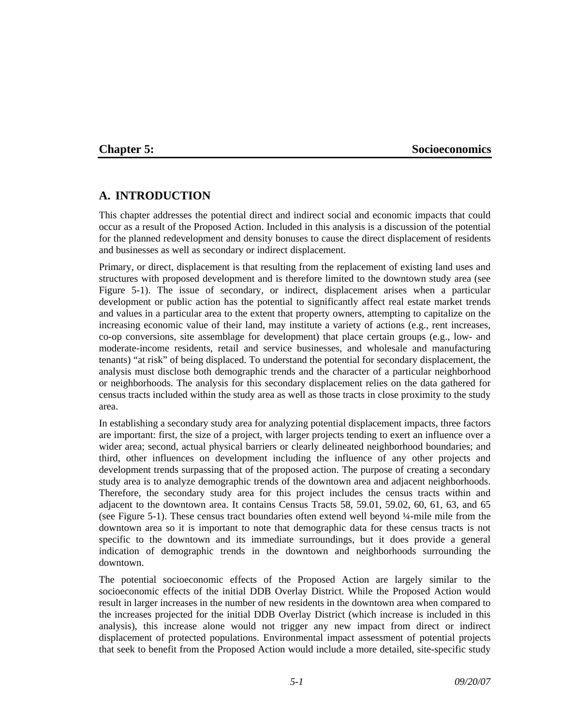## **Chapter 5:** Socioeconomics

# **A. INTRODUCTION**

This chapter addresses the potential direct and indirect social and economic impacts that could occur as a result of the Proposed Action. Included in this analysis is a discussion of the potential for the planned redevelopment and density bonuses to cause the direct displacement of residents and businesses as well as secondary or indirect displacement.

Primary, or direct, displacement is that resulting from the replacement of existing land uses and structures with proposed development and is therefore limited to the downtown study area (see Figure 5-1). The issue of secondary, or indirect, displacement arises when a particular development or public action has the potential to significantly affect real estate market trends and values in a particular area to the extent that property owners, attempting to capitalize on the increasing economic value of their land, may institute a variety of actions (e.g., rent increases, co-op conversions, site assemblage for development) that place certain groups (e.g., low- and moderate-income residents, retail and service businesses, and wholesale and manufacturing tenants) "at risk" of being displaced. To understand the potential for secondary displacement, the analysis must disclose both demographic trends and the character of a particular neighborhood or neighborhoods. The analysis for this secondary displacement relies on the data gathered for census tracts included within the study area as well as those tracts in close proximity to the study area.

In establishing a secondary study area for analyzing potential displacement impacts, three factors are important: first, the size of a project, with larger projects tending to exert an influence over a wider area; second, actual physical barriers or clearly delineated neighborhood boundaries; and third, other influences on development including the influence of any other projects and development trends surpassing that of the proposed action. The purpose of creating a secondary study area is to analyze demographic trends of the downtown area and adjacent neighborhoods. Therefore, the secondary study area for this project includes the census tracts within and adjacent to the downtown area. It contains Census Tracts 58, 59.01, 59.02, 60, 61, 63, and 65 (see Figure 5-1). These census tract boundaries often extend well beyond ¼-mile mile from the downtown area so it is important to note that demographic data for these census tracts is not specific to the downtown and its immediate surroundings, but it does provide a general indication of demographic trends in the downtown and neighborhoods surrounding the downtown.

The potential socioeconomic effects of the Proposed Action are largely similar to the socioeconomic effects of the initial DDB Overlay District. While the Proposed Action would result in larger increases in the number of new residents in the downtown area when compared to the increases projected for the initial DDB Overlay District (which increase is included in this analysis), this increase alone would not trigger any new impact from direct or indirect displacement of protected populations. Environmental impact assessment of potential projects that seek to benefit from the Proposed Action would include a more detailed, site-specific study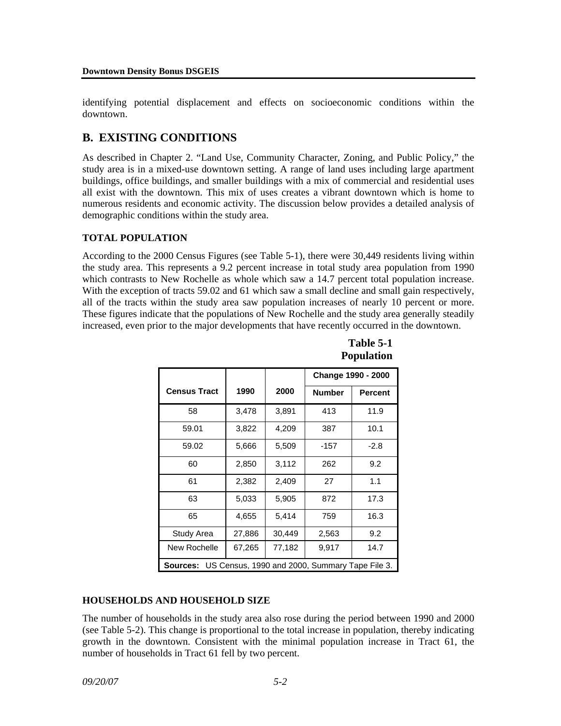identifying potential displacement and effects on socioeconomic conditions within the downtown.

# **B. EXISTING CONDITIONS**

As described in Chapter 2. "Land Use, Community Character, Zoning, and Public Policy," the study area is in a mixed-use downtown setting. A range of land uses including large apartment buildings, office buildings, and smaller buildings with a mix of commercial and residential uses all exist with the downtown. This mix of uses creates a vibrant downtown which is home to numerous residents and economic activity. The discussion below provides a detailed analysis of demographic conditions within the study area.

# **TOTAL POPULATION**

According to the 2000 Census Figures (see Table 5-1), there were 30,449 residents living within the study area. This represents a 9.2 percent increase in total study area population from 1990 which contrasts to New Rochelle as whole which saw a 14.7 percent total population increase. With the exception of tracts 59.02 and 61 which saw a small decline and small gain respectively, all of the tracts within the study area saw population increases of nearly 10 percent or more. These figures indicate that the populations of New Rochelle and the study area generally steadily increased, even prior to the major developments that have recently occurred in the downtown.

|                                                            |        |        | Change 1990 - 2000 |                |
|------------------------------------------------------------|--------|--------|--------------------|----------------|
| <b>Census Tract</b>                                        | 1990   | 2000   | <b>Number</b>      | <b>Percent</b> |
| 58                                                         | 3,478  | 3,891  | 413                | 11.9           |
| 59.01                                                      | 3,822  | 4,209  | 387                | 10.1           |
| 59.02                                                      | 5,666  | 5,509  | -157               | $-2.8$         |
| 60                                                         | 2,850  | 3,112  | 262                | 9.2            |
| 61                                                         | 2,382  | 2,409  | 27                 | 1.1            |
| 63                                                         | 5,033  | 5,905  | 872                | 17.3           |
| 65                                                         | 4,655  | 5,414  | 759                | 16.3           |
| Study Area                                                 | 27,886 | 30,449 | 2,563              | 9.2            |
| New Rochelle                                               | 67,265 | 77,182 | 9,917              | 14.7           |
| US Census, 1990 and 2000, Summary Tape File 3.<br>Sources: |        |        |                    |                |

**Table 5-1 Population**

# **HOUSEHOLDS AND HOUSEHOLD SIZE**

The number of households in the study area also rose during the period between 1990 and 2000 (see Table 5-2). This change is proportional to the total increase in population, thereby indicating growth in the downtown. Consistent with the minimal population increase in Tract 61, the number of households in Tract 61 fell by two percent.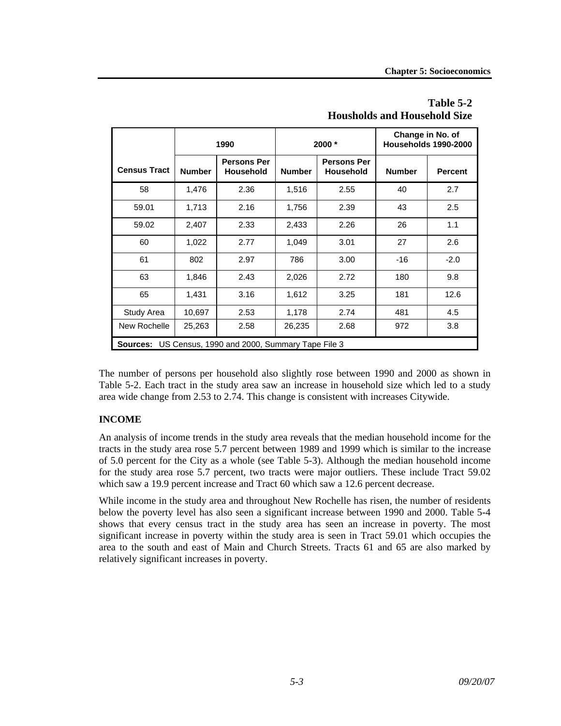|                                                           | 1990          |                                        |               | 2000 *                                 | Change in No. of<br>Households 1990-2000 |                |
|-----------------------------------------------------------|---------------|----------------------------------------|---------------|----------------------------------------|------------------------------------------|----------------|
| <b>Census Tract</b>                                       | <b>Number</b> | <b>Persons Per</b><br><b>Household</b> | <b>Number</b> | <b>Persons Per</b><br><b>Household</b> | <b>Number</b>                            | <b>Percent</b> |
| 58                                                        | 1,476         | 2.36                                   | 1,516         | 2.55                                   | 40                                       | 2.7            |
| 59.01                                                     | 1,713         | 2.16                                   | 1,756         | 2.39                                   | 43                                       | 2.5            |
| 59.02                                                     | 2,407         | 2.33                                   | 2,433         | 2.26                                   | 26                                       | 1.1            |
| 60                                                        | 1,022         | 2.77                                   | 1,049         | 3.01                                   | 27                                       | 2.6            |
| 61                                                        | 802           | 2.97                                   | 786           | 3.00                                   | $-16$                                    | $-2.0$         |
| 63                                                        | 1,846         | 2.43                                   | 2,026         | 2.72                                   | 180                                      | 9.8            |
| 65                                                        | 1,431         | 3.16                                   | 1,612         | 3.25                                   | 181                                      | 12.6           |
| Study Area                                                | 10,697        | 2.53                                   | 1,178         | 2.74                                   | 481                                      | 4.5            |
| New Rochelle                                              | 25,263        | 2.58                                   | 26,235        | 2.68                                   | 972                                      | 3.8            |
| US Census, 1990 and 2000, Summary Tape File 3<br>Sources: |               |                                        |               |                                        |                                          |                |

# **Table 5-2 Housholds and Household Size**

The number of persons per household also slightly rose between 1990 and 2000 as shown in Table 5-2. Each tract in the study area saw an increase in household size which led to a study area wide change from 2.53 to 2.74. This change is consistent with increases Citywide.

# **INCOME**

An analysis of income trends in the study area reveals that the median household income for the tracts in the study area rose 5.7 percent between 1989 and 1999 which is similar to the increase of 5.0 percent for the City as a whole (see Table 5-3). Although the median household income for the study area rose 5.7 percent, two tracts were major outliers. These include Tract 59.02 which saw a 19.9 percent increase and Tract 60 which saw a 12.6 percent decrease.

While income in the study area and throughout New Rochelle has risen, the number of residents below the poverty level has also seen a significant increase between 1990 and 2000. Table 5-4 shows that every census tract in the study area has seen an increase in poverty. The most significant increase in poverty within the study area is seen in Tract 59.01 which occupies the area to the south and east of Main and Church Streets. Tracts 61 and 65 are also marked by relatively significant increases in poverty.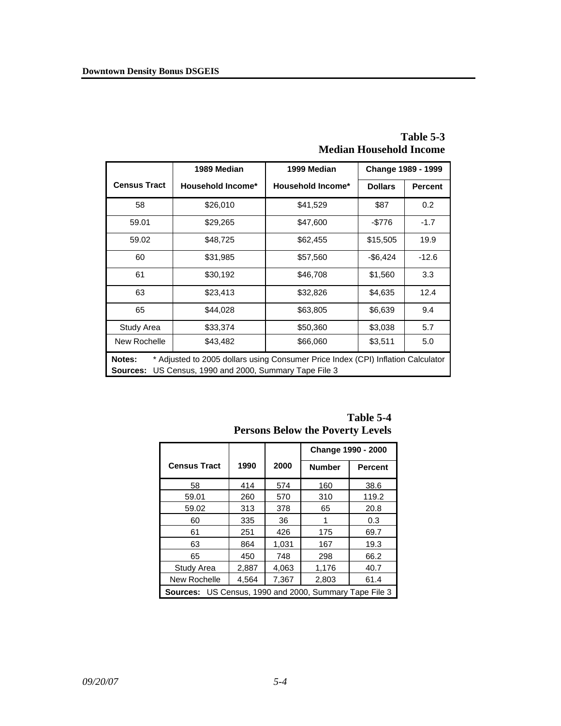|                                                                                                                                                         | 1989 Median              | 1999 Median              |                | Change 1989 - 1999 |
|---------------------------------------------------------------------------------------------------------------------------------------------------------|--------------------------|--------------------------|----------------|--------------------|
| <b>Census Tract</b>                                                                                                                                     | <b>Household Income*</b> | <b>Household Income*</b> | <b>Dollars</b> | <b>Percent</b>     |
| 58                                                                                                                                                      | \$26,010                 | \$41,529                 | \$87           | 0.2 <sub>0</sub>   |
| 59.01                                                                                                                                                   | \$29,265                 | \$47,600                 | $-$776$        | $-1.7$             |
| 59.02                                                                                                                                                   | \$48,725                 | \$62,455                 | \$15,505       | 19.9               |
| 60                                                                                                                                                      | \$31,985                 | \$57,560                 | $-$6,424$      | $-12.6$            |
| 61                                                                                                                                                      | \$30,192                 | \$46,708                 | \$1,560        | 3.3                |
| 63                                                                                                                                                      | \$23,413                 | \$32,826                 | \$4,635        | 12.4               |
| 65                                                                                                                                                      | \$44,028                 | \$63,805                 | \$6,639        | 9.4                |
| Study Area                                                                                                                                              | \$33,374                 | \$50,360                 | \$3,038        | 5.7                |
| New Rochelle                                                                                                                                            | \$43,482                 | \$66,060                 | \$3,511        | 5.0                |
| * Adjusted to 2005 dollars using Consumer Price Index (CPI) Inflation Calculator<br>Notes:<br>US Census, 1990 and 2000, Summary Tape File 3<br>Sources: |                          |                          |                |                    |

**Table 5-3 Median Household Income** 

| $1$ closely below the $1$ over $\mathbf{r}$ bevers     |       |       |                    |                |
|--------------------------------------------------------|-------|-------|--------------------|----------------|
|                                                        |       |       | Change 1990 - 2000 |                |
| <b>Census Tract</b>                                    | 1990  | 2000  | <b>Number</b>      | <b>Percent</b> |
| 58                                                     | 414   | 574   | 160                | 38.6           |
| 59.01                                                  | 260   | 570   | 310                | 119.2          |
| 59.02                                                  | 313   | 378   | 65                 | 20.8           |
| 60                                                     | 335   | 36    |                    | 0.3            |
| 61                                                     | 251   | 426   | 175                | 69.7           |
| 63                                                     | 864   | 1,031 | 167                | 19.3           |
| 65                                                     | 450   | 748   | 298                | 66.2           |
| Study Area                                             | 2,887 | 4,063 | 1,176              | 40.7           |
| New Rochelle                                           | 4,564 | 7,367 | 2,803              | 61.4           |
| Sources: US Census, 1990 and 2000, Summary Tape File 3 |       |       |                    |                |

**Table 5-4 Persons Below the Poverty Levels**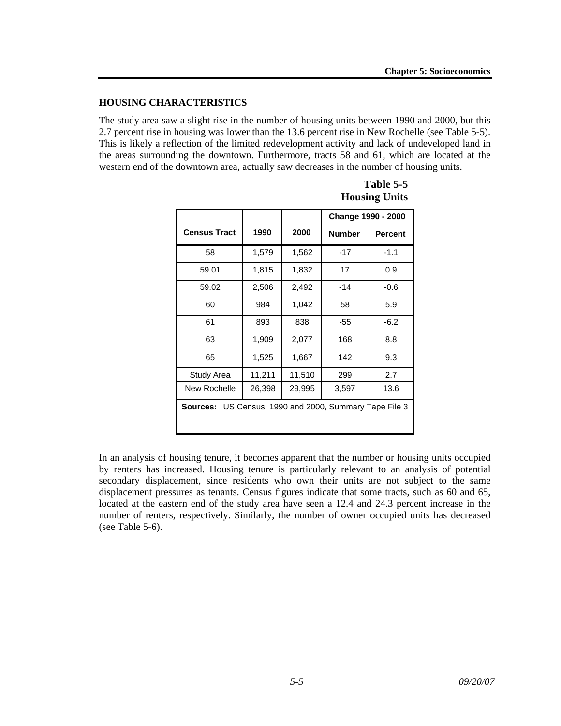#### **HOUSING CHARACTERISTICS**

The study area saw a slight rise in the number of housing units between 1990 and 2000, but this 2.7 percent rise in housing was lower than the 13.6 percent rise in New Rochelle (see Table 5-5). This is likely a reflection of the limited redevelopment activity and lack of undeveloped land in the areas surrounding the downtown. Furthermore, tracts 58 and 61, which are located at the western end of the downtown area, actually saw decreases in the number of housing units.

|                                                               |        |        | Change 1990 - 2000 |         |
|---------------------------------------------------------------|--------|--------|--------------------|---------|
| <b>Census Tract</b>                                           | 1990   | 2000   | <b>Number</b>      | Percent |
| 58                                                            | 1,579  | 1,562  | -17                | $-1.1$  |
| 59.01                                                         | 1,815  | 1,832  | 17                 | 0.9     |
| 59.02                                                         | 2,506  | 2,492  | -14                | $-0.6$  |
| 60                                                            | 984    | 1,042  | 58                 | 5.9     |
| 61                                                            | 893    | 838    | $-55$              | $-6.2$  |
| 63                                                            | 1,909  | 2,077  | 168                | 8.8     |
| 65                                                            | 1,525  | 1,667  | 142                | 9.3     |
| Study Area                                                    | 11,211 | 11,510 | 299                | 2.7     |
| New Rochelle                                                  | 26,398 | 29,995 | 3,597              | 13.6    |
| <b>Sources:</b> US Census, 1990 and 2000, Summary Tape File 3 |        |        |                    |         |

**Table 5-5 Housing Units** 

In an analysis of housing tenure, it becomes apparent that the number or housing units occupied by renters has increased. Housing tenure is particularly relevant to an analysis of potential secondary displacement, since residents who own their units are not subject to the same displacement pressures as tenants. Census figures indicate that some tracts, such as 60 and 65, located at the eastern end of the study area have seen a 12.4 and 24.3 percent increase in the number of renters, respectively. Similarly, the number of owner occupied units has decreased (see Table 5-6).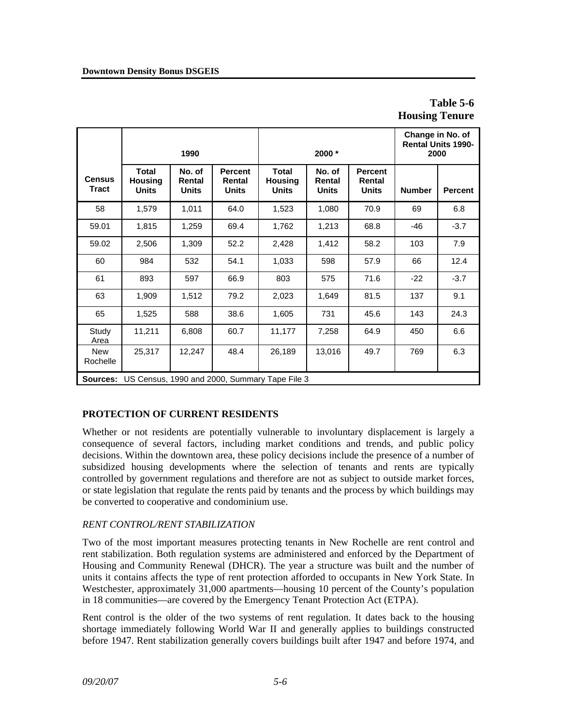# **Table 5-6 Housing Tenure**

|                               | 1990                                           |                                  | 2000 *                                   |                                                | Change in No. of<br><b>Rental Units 1990-</b><br>2000 |                                          |               |                |
|-------------------------------|------------------------------------------------|----------------------------------|------------------------------------------|------------------------------------------------|-------------------------------------------------------|------------------------------------------|---------------|----------------|
| <b>Census</b><br><b>Tract</b> | <b>Total</b><br><b>Housing</b><br><b>Units</b> | No. of<br>Rental<br><b>Units</b> | <b>Percent</b><br>Rental<br><b>Units</b> | <b>Total</b><br><b>Housing</b><br><b>Units</b> | No. of<br>Rental<br><b>Units</b>                      | <b>Percent</b><br>Rental<br><b>Units</b> | <b>Number</b> | <b>Percent</b> |
| 58                            | 1,579                                          | 1,011                            | 64.0                                     | 1,523                                          | 1,080                                                 | 70.9                                     | 69            | 6.8            |
| 59.01                         | 1,815                                          | 1,259                            | 69.4                                     | 1,762                                          | 1,213                                                 | 68.8                                     | -46           | $-3.7$         |
| 59.02                         | 2,506                                          | 1,309                            | 52.2                                     | 2,428                                          | 1,412                                                 | 58.2                                     | 103           | 7.9            |
| 60                            | 984                                            | 532                              | 54.1                                     | 1,033                                          | 598                                                   | 57.9                                     | 66            | 12.4           |
| 61                            | 893                                            | 597                              | 66.9                                     | 803                                            | 575                                                   | 71.6                                     | $-22$         | $-3.7$         |
| 63                            | 1,909                                          | 1,512                            | 79.2                                     | 2,023                                          | 1,649                                                 | 81.5                                     | 137           | 9.1            |
| 65                            | 1,525                                          | 588                              | 38.6                                     | 1,605                                          | 731                                                   | 45.6                                     | 143           | 24.3           |
| Study<br>Area                 | 11,211                                         | 6,808                            | 60.7                                     | 11,177                                         | 7,258                                                 | 64.9                                     | 450           | 6.6            |
| <b>New</b><br>Rochelle        | 25,317                                         | 12,247                           | 48.4                                     | 26,189                                         | 13,016                                                | 49.7                                     | 769           | 6.3            |

**Sources:** US Census, 1990 and 2000, Summary Tape File 3

# **PROTECTION OF CURRENT RESIDENTS**

Whether or not residents are potentially vulnerable to involuntary displacement is largely a consequence of several factors, including market conditions and trends, and public policy decisions. Within the downtown area, these policy decisions include the presence of a number of subsidized housing developments where the selection of tenants and rents are typically controlled by government regulations and therefore are not as subject to outside market forces, or state legislation that regulate the rents paid by tenants and the process by which buildings may be converted to cooperative and condominium use.

# *RENT CONTROL/RENT STABILIZATION*

Two of the most important measures protecting tenants in New Rochelle are rent control and rent stabilization. Both regulation systems are administered and enforced by the Department of Housing and Community Renewal (DHCR). The year a structure was built and the number of units it contains affects the type of rent protection afforded to occupants in New York State. In Westchester, approximately 31,000 apartments—housing 10 percent of the County's population in 18 communities—are covered by the Emergency Tenant Protection Act (ETPA).

Rent control is the older of the two systems of rent regulation. It dates back to the housing shortage immediately following World War II and generally applies to buildings constructed before 1947. Rent stabilization generally covers buildings built after 1947 and before 1974, and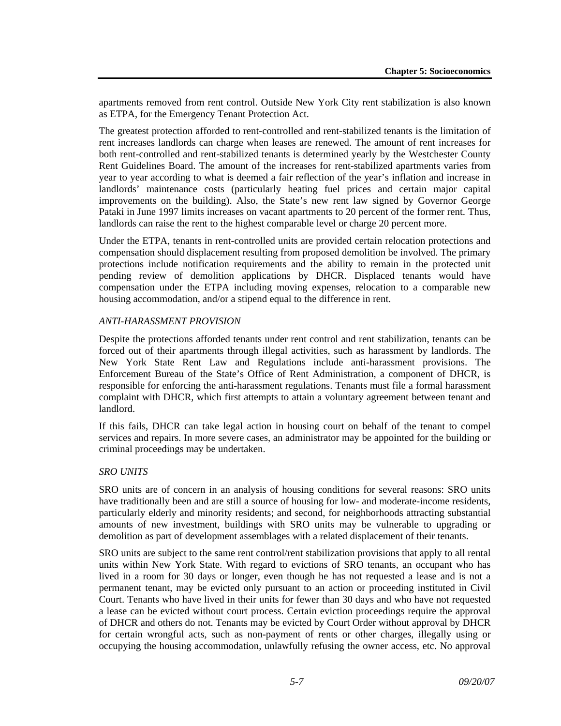apartments removed from rent control. Outside New York City rent stabilization is also known as ETPA, for the Emergency Tenant Protection Act.

The greatest protection afforded to rent-controlled and rent-stabilized tenants is the limitation of rent increases landlords can charge when leases are renewed. The amount of rent increases for both rent-controlled and rent-stabilized tenants is determined yearly by the Westchester County Rent Guidelines Board. The amount of the increases for rent-stabilized apartments varies from year to year according to what is deemed a fair reflection of the year's inflation and increase in landlords' maintenance costs (particularly heating fuel prices and certain major capital improvements on the building). Also, the State's new rent law signed by Governor George Pataki in June 1997 limits increases on vacant apartments to 20 percent of the former rent. Thus, landlords can raise the rent to the highest comparable level or charge 20 percent more.

Under the ETPA, tenants in rent-controlled units are provided certain relocation protections and compensation should displacement resulting from proposed demolition be involved. The primary protections include notification requirements and the ability to remain in the protected unit pending review of demolition applications by DHCR. Displaced tenants would have compensation under the ETPA including moving expenses, relocation to a comparable new housing accommodation, and/or a stipend equal to the difference in rent.

### *ANTI-HARASSMENT PROVISION*

Despite the protections afforded tenants under rent control and rent stabilization, tenants can be forced out of their apartments through illegal activities, such as harassment by landlords. The New York State Rent Law and Regulations include anti-harassment provisions. The Enforcement Bureau of the State's Office of Rent Administration, a component of DHCR, is responsible for enforcing the anti-harassment regulations. Tenants must file a formal harassment complaint with DHCR, which first attempts to attain a voluntary agreement between tenant and landlord.

If this fails, DHCR can take legal action in housing court on behalf of the tenant to compel services and repairs. In more severe cases, an administrator may be appointed for the building or criminal proceedings may be undertaken.

# *SRO UNITS*

SRO units are of concern in an analysis of housing conditions for several reasons: SRO units have traditionally been and are still a source of housing for low- and moderate-income residents, particularly elderly and minority residents; and second, for neighborhoods attracting substantial amounts of new investment, buildings with SRO units may be vulnerable to upgrading or demolition as part of development assemblages with a related displacement of their tenants.

SRO units are subject to the same rent control/rent stabilization provisions that apply to all rental units within New York State. With regard to evictions of SRO tenants, an occupant who has lived in a room for 30 days or longer, even though he has not requested a lease and is not a permanent tenant, may be evicted only pursuant to an action or proceeding instituted in Civil Court. Tenants who have lived in their units for fewer than 30 days and who have not requested a lease can be evicted without court process. Certain eviction proceedings require the approval of DHCR and others do not. Tenants may be evicted by Court Order without approval by DHCR for certain wrongful acts, such as non-payment of rents or other charges, illegally using or occupying the housing accommodation, unlawfully refusing the owner access, etc. No approval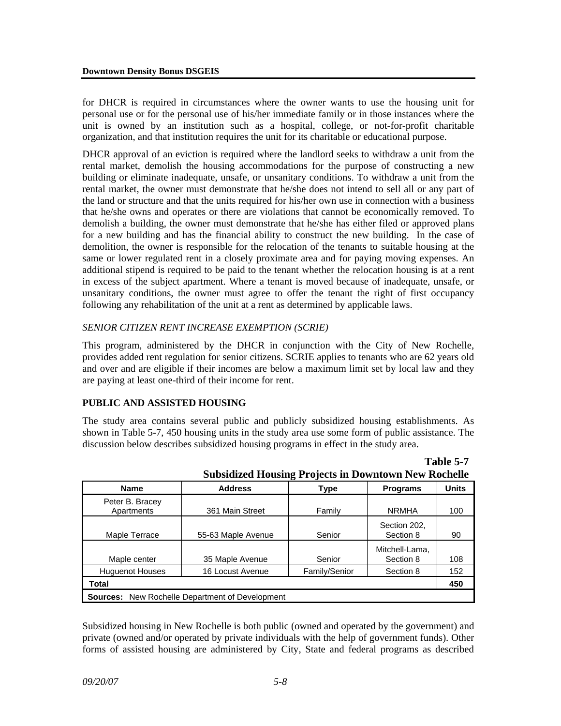for DHCR is required in circumstances where the owner wants to use the housing unit for personal use or for the personal use of his/her immediate family or in those instances where the unit is owned by an institution such as a hospital, college, or not-for-profit charitable organization, and that institution requires the unit for its charitable or educational purpose.

DHCR approval of an eviction is required where the landlord seeks to withdraw a unit from the rental market, demolish the housing accommodations for the purpose of constructing a new building or eliminate inadequate, unsafe, or unsanitary conditions. To withdraw a unit from the rental market, the owner must demonstrate that he/she does not intend to sell all or any part of the land or structure and that the units required for his/her own use in connection with a business that he/she owns and operates or there are violations that cannot be economically removed. To demolish a building, the owner must demonstrate that he/she has either filed or approved plans for a new building and has the financial ability to construct the new building. In the case of demolition, the owner is responsible for the relocation of the tenants to suitable housing at the same or lower regulated rent in a closely proximate area and for paying moving expenses. An additional stipend is required to be paid to the tenant whether the relocation housing is at a rent in excess of the subject apartment. Where a tenant is moved because of inadequate, unsafe, or unsanitary conditions, the owner must agree to offer the tenant the right of first occupancy following any rehabilitation of the unit at a rent as determined by applicable laws.

# *SENIOR CITIZEN RENT INCREASE EXEMPTION (SCRIE)*

This program, administered by the DHCR in conjunction with the City of New Rochelle, provides added rent regulation for senior citizens. SCRIE applies to tenants who are 62 years old and over and are eligible if their incomes are below a maximum limit set by local law and they are paying at least one-third of their income for rent.

#### **PUBLIC AND ASSISTED HOUSING**

The study area contains several public and publicly subsidized housing establishments. As shown in Table 5-7, 450 housing units in the study area use some form of public assistance. The discussion below describes subsidized housing programs in effect in the study area.

|                                                    | Subsidized Housing Projects in Downtown New Rochelle |               |                             |              |
|----------------------------------------------------|------------------------------------------------------|---------------|-----------------------------|--------------|
| <b>Name</b>                                        | <b>Address</b>                                       | <b>Type</b>   | <b>Programs</b>             | <b>Units</b> |
| Peter B. Bracey<br>Apartments                      | 361 Main Street                                      | Family        | <b>NRMHA</b>                | 100          |
| Maple Terrace                                      | 55-63 Maple Avenue                                   | Senior        | Section 202,<br>Section 8   | 90           |
| Maple center                                       | 35 Maple Avenue                                      | Senior        | Mitchell-Lama.<br>Section 8 | 108          |
| <b>Huguenot Houses</b>                             | 16 Locust Avenue                                     | Family/Senior | Section 8                   | 152          |
| Total                                              |                                                      |               |                             | 450          |
| New Rochelle Department of Development<br>Sources: |                                                      |               |                             |              |

|                                                             |  | $1$ able 5-7 |
|-------------------------------------------------------------|--|--------------|
| <b>Subsidized Housing Projects in Downtown New Rochelle</b> |  |              |

**Table 5-7** 

Subsidized housing in New Rochelle is both public (owned and operated by the government) and private (owned and/or operated by private individuals with the help of government funds). Other forms of assisted housing are administered by City, State and federal programs as described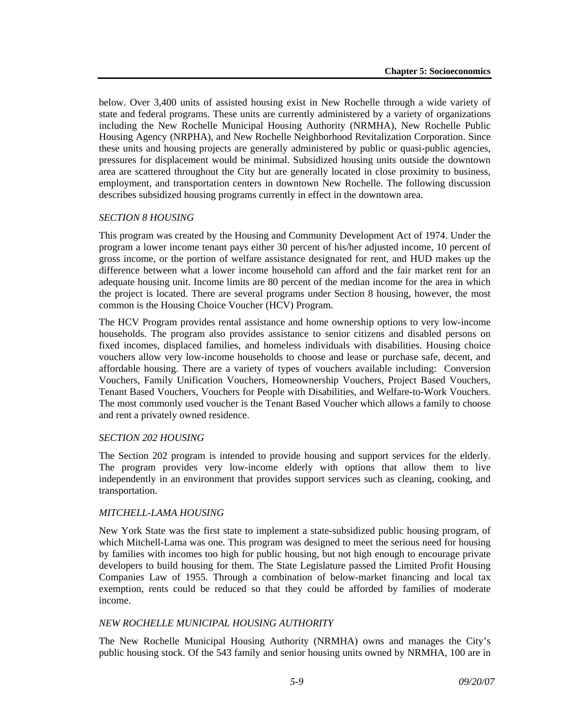below. Over 3,400 units of assisted housing exist in New Rochelle through a wide variety of state and federal programs. These units are currently administered by a variety of organizations including the New Rochelle Municipal Housing Authority (NRMHA), New Rochelle Public Housing Agency (NRPHA), and New Rochelle Neighborhood Revitalization Corporation. Since these units and housing projects are generally administered by public or quasi-public agencies, pressures for displacement would be minimal. Subsidized housing units outside the downtown area are scattered throughout the City but are generally located in close proximity to business, employment, and transportation centers in downtown New Rochelle. The following discussion describes subsidized housing programs currently in effect in the downtown area.

### *SECTION 8 HOUSING*

This program was created by the Housing and Community Development Act of 1974. Under the program a lower income tenant pays either 30 percent of his/her adjusted income, 10 percent of gross income, or the portion of welfare assistance designated for rent, and HUD makes up the difference between what a lower income household can afford and the fair market rent for an adequate housing unit. Income limits are 80 percent of the median income for the area in which the project is located. There are several programs under Section 8 housing, however, the most common is the Housing Choice Voucher (HCV) Program.

The HCV Program provides rental assistance and home ownership options to very low-income households. The program also provides assistance to senior citizens and disabled persons on fixed incomes, displaced families, and homeless individuals with disabilities. Housing choice vouchers allow very low-income households to choose and lease or purchase safe, decent, and affordable housing. There are a variety of types of vouchers available including: Conversion Vouchers, Family Unification Vouchers, Homeownership Vouchers, Project Based Vouchers, Tenant Based Vouchers, Vouchers for People with Disabilities, and Welfare-to-Work Vouchers. The most commonly used voucher is the Tenant Based Voucher which allows a family to choose and rent a privately owned residence.

#### *SECTION 202 HOUSING*

The Section 202 program is intended to provide housing and support services for the elderly. The program provides very low-income elderly with options that allow them to live independently in an environment that provides support services such as cleaning, cooking, and transportation.

#### *MITCHELL-LAMA HOUSING*

New York State was the first state to implement a state-subsidized public housing program, of which Mitchell-Lama was one. This program was designed to meet the serious need for housing by families with incomes too high for public housing, but not high enough to encourage private developers to build housing for them. The State Legislature passed the Limited Profit Housing Companies Law of 1955. Through a combination of below-market financing and local tax exemption, rents could be reduced so that they could be afforded by families of moderate income.

# *NEW ROCHELLE MUNICIPAL HOUSING AUTHORITY*

The New Rochelle Municipal Housing Authority (NRMHA) owns and manages the City's public housing stock. Of the 543 family and senior housing units owned by NRMHA, 100 are in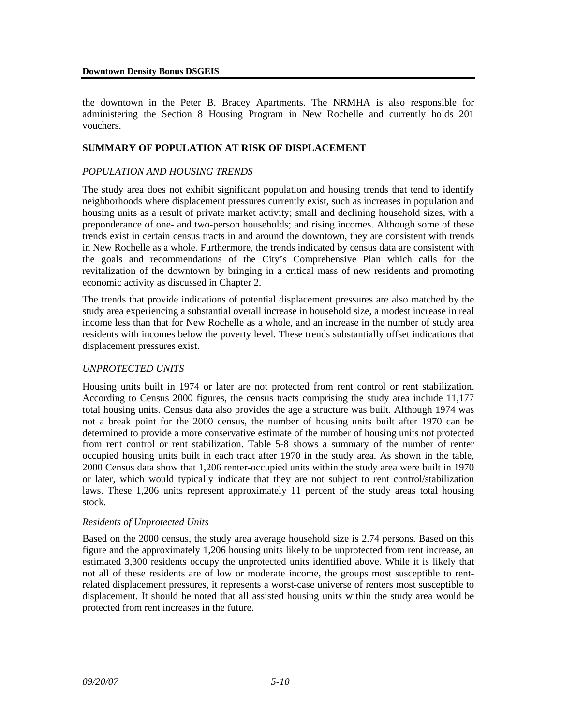the downtown in the Peter B. Bracey Apartments. The NRMHA is also responsible for administering the Section 8 Housing Program in New Rochelle and currently holds 201 vouchers.

#### **SUMMARY OF POPULATION AT RISK OF DISPLACEMENT**

#### *POPULATION AND HOUSING TRENDS*

The study area does not exhibit significant population and housing trends that tend to identify neighborhoods where displacement pressures currently exist, such as increases in population and housing units as a result of private market activity; small and declining household sizes, with a preponderance of one- and two-person households; and rising incomes. Although some of these trends exist in certain census tracts in and around the downtown, they are consistent with trends in New Rochelle as a whole. Furthermore, the trends indicated by census data are consistent with the goals and recommendations of the City's Comprehensive Plan which calls for the revitalization of the downtown by bringing in a critical mass of new residents and promoting economic activity as discussed in Chapter 2.

The trends that provide indications of potential displacement pressures are also matched by the study area experiencing a substantial overall increase in household size, a modest increase in real income less than that for New Rochelle as a whole, and an increase in the number of study area residents with incomes below the poverty level. These trends substantially offset indications that displacement pressures exist.

#### *UNPROTECTED UNITS*

Housing units built in 1974 or later are not protected from rent control or rent stabilization. According to Census 2000 figures, the census tracts comprising the study area include 11,177 total housing units. Census data also provides the age a structure was built. Although 1974 was not a break point for the 2000 census, the number of housing units built after 1970 can be determined to provide a more conservative estimate of the number of housing units not protected from rent control or rent stabilization. Table 5-8 shows a summary of the number of renter occupied housing units built in each tract after 1970 in the study area. As shown in the table, 2000 Census data show that 1,206 renter-occupied units within the study area were built in 1970 or later, which would typically indicate that they are not subject to rent control/stabilization laws. These 1,206 units represent approximately 11 percent of the study areas total housing stock.

#### *Residents of Unprotected Units*

Based on the 2000 census, the study area average household size is 2.74 persons. Based on this figure and the approximately 1,206 housing units likely to be unprotected from rent increase, an estimated 3,300 residents occupy the unprotected units identified above. While it is likely that not all of these residents are of low or moderate income, the groups most susceptible to rentrelated displacement pressures, it represents a worst-case universe of renters most susceptible to displacement. It should be noted that all assisted housing units within the study area would be protected from rent increases in the future.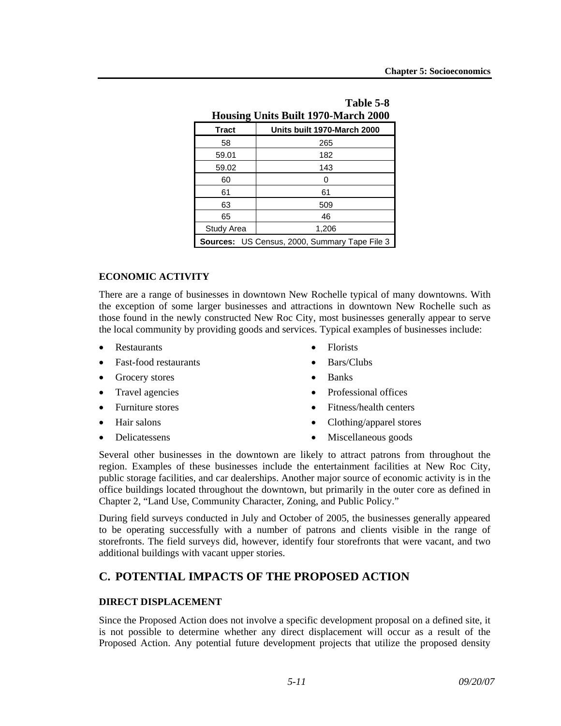| Table 5-8<br><b>Housing Units Built 1970-March 2000</b> |                             |  |  |
|---------------------------------------------------------|-----------------------------|--|--|
| <b>Tract</b>                                            | Units built 1970-March 2000 |  |  |
| 58                                                      | 265                         |  |  |
| 59.01                                                   | 182                         |  |  |
| 59.02                                                   | 143                         |  |  |
| 60                                                      | 0                           |  |  |
| 61                                                      | 61                          |  |  |
| 63                                                      | 509                         |  |  |
| 65                                                      | 46                          |  |  |
| Study Area                                              | 1,206                       |  |  |
| Sources: US Census, 2000, Summary Tape File 3           |                             |  |  |

#### **ECONOMIC ACTIVITY**

There are a range of businesses in downtown New Rochelle typical of many downtowns. With the exception of some larger businesses and attractions in downtown New Rochelle such as those found in the newly constructed New Roc City, most businesses generally appear to serve the local community by providing goods and services. Typical examples of businesses include:

- Restaurants
- Fast-food restaurants
- Grocery stores
- Travel agencies
- Furniture stores
- Hair salons
- Delicatessens
- Florists
- Bars/Clubs
- Banks
- Professional offices
- Fitness/health centers
- Clothing/apparel stores
- Miscellaneous goods

Several other businesses in the downtown are likely to attract patrons from throughout the region. Examples of these businesses include the entertainment facilities at New Roc City, public storage facilities, and car dealerships. Another major source of economic activity is in the office buildings located throughout the downtown, but primarily in the outer core as defined in Chapter 2, "Land Use, Community Character, Zoning, and Public Policy."

During field surveys conducted in July and October of 2005, the businesses generally appeared to be operating successfully with a number of patrons and clients visible in the range of storefronts. The field surveys did, however, identify four storefronts that were vacant, and two additional buildings with vacant upper stories.

# **C. POTENTIAL IMPACTS OF THE PROPOSED ACTION**

#### **DIRECT DISPLACEMENT**

Since the Proposed Action does not involve a specific development proposal on a defined site, it is not possible to determine whether any direct displacement will occur as a result of the Proposed Action. Any potential future development projects that utilize the proposed density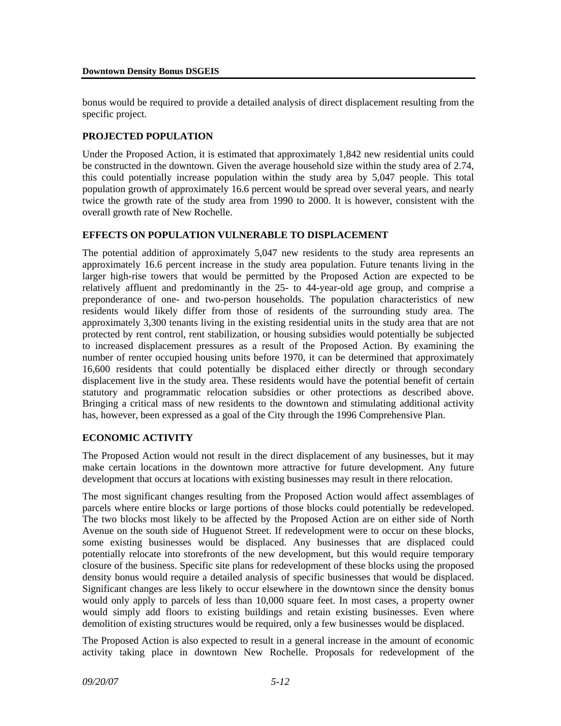bonus would be required to provide a detailed analysis of direct displacement resulting from the specific project.

# **PROJECTED POPULATION**

Under the Proposed Action, it is estimated that approximately 1,842 new residential units could be constructed in the downtown. Given the average household size within the study area of 2.74, this could potentially increase population within the study area by 5,047 people. This total population growth of approximately 16.6 percent would be spread over several years, and nearly twice the growth rate of the study area from 1990 to 2000. It is however, consistent with the overall growth rate of New Rochelle.

### **EFFECTS ON POPULATION VULNERABLE TO DISPLACEMENT**

The potential addition of approximately 5,047 new residents to the study area represents an approximately 16.6 percent increase in the study area population. Future tenants living in the larger high-rise towers that would be permitted by the Proposed Action are expected to be relatively affluent and predominantly in the 25- to 44-year-old age group, and comprise a preponderance of one- and two-person households. The population characteristics of new residents would likely differ from those of residents of the surrounding study area. The approximately 3,300 tenants living in the existing residential units in the study area that are not protected by rent control, rent stabilization, or housing subsidies would potentially be subjected to increased displacement pressures as a result of the Proposed Action. By examining the number of renter occupied housing units before 1970, it can be determined that approximately 16,600 residents that could potentially be displaced either directly or through secondary displacement live in the study area. These residents would have the potential benefit of certain statutory and programmatic relocation subsidies or other protections as described above. Bringing a critical mass of new residents to the downtown and stimulating additional activity has, however, been expressed as a goal of the City through the 1996 Comprehensive Plan.

# **ECONOMIC ACTIVITY**

The Proposed Action would not result in the direct displacement of any businesses, but it may make certain locations in the downtown more attractive for future development. Any future development that occurs at locations with existing businesses may result in there relocation.

The most significant changes resulting from the Proposed Action would affect assemblages of parcels where entire blocks or large portions of those blocks could potentially be redeveloped. The two blocks most likely to be affected by the Proposed Action are on either side of North Avenue on the south side of Huguenot Street. If redevelopment were to occur on these blocks, some existing businesses would be displaced. Any businesses that are displaced could potentially relocate into storefronts of the new development, but this would require temporary closure of the business. Specific site plans for redevelopment of these blocks using the proposed density bonus would require a detailed analysis of specific businesses that would be displaced. Significant changes are less likely to occur elsewhere in the downtown since the density bonus would only apply to parcels of less than 10,000 square feet. In most cases, a property owner would simply add floors to existing buildings and retain existing businesses. Even where demolition of existing structures would be required, only a few businesses would be displaced.

The Proposed Action is also expected to result in a general increase in the amount of economic activity taking place in downtown New Rochelle. Proposals for redevelopment of the